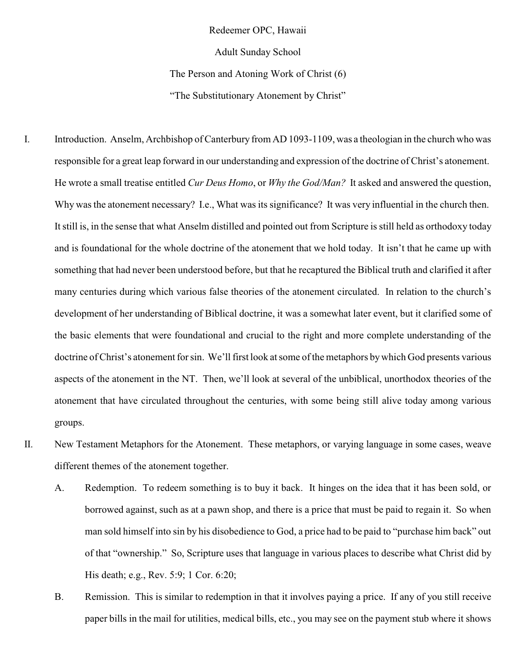Redeemer OPC, Hawaii

Adult Sunday School

The Person and Atoning Work of Christ (6)

"The Substitutionary Atonement by Christ"

- I. Introduction. Anselm, Archbishop of Canterbury from AD 1093-1109, was a theologian in the church who was responsible for a great leap forward in our understanding and expression of the doctrine of Christ's atonement. He wrote a small treatise entitled *Cur Deus Homo*, or *Why the God/Man?* It asked and answered the question, Why was the atonement necessary? I.e., What was its significance? It was very influential in the church then. It still is, in the sense that what Anselm distilled and pointed out from Scripture is still held as orthodoxy today and is foundational for the whole doctrine of the atonement that we hold today. It isn't that he came up with something that had never been understood before, but that he recaptured the Biblical truth and clarified it after many centuries during which various false theories of the atonement circulated. In relation to the church's development of her understanding of Biblical doctrine, it was a somewhat later event, but it clarified some of the basic elements that were foundational and crucial to the right and more complete understanding of the doctrine of Christ's atonement for sin. We'll first look at some of the metaphors bywhich God presents various aspects of the atonement in the NT. Then, we'll look at several of the unbiblical, unorthodox theories of the atonement that have circulated throughout the centuries, with some being still alive today among various groups.
- II. New Testament Metaphors for the Atonement. These metaphors, or varying language in some cases, weave different themes of the atonement together.
	- A. Redemption. To redeem something is to buy it back. It hinges on the idea that it has been sold, or borrowed against, such as at a pawn shop, and there is a price that must be paid to regain it. So when man sold himself into sin by his disobedience to God, a price had to be paid to "purchase him back" out of that "ownership." So, Scripture uses that language in various places to describe what Christ did by His death; e.g., Rev. 5:9; 1 Cor. 6:20;
	- B. Remission. This is similar to redemption in that it involves paying a price. If any of you still receive paper bills in the mail for utilities, medical bills, etc., you may see on the payment stub where it shows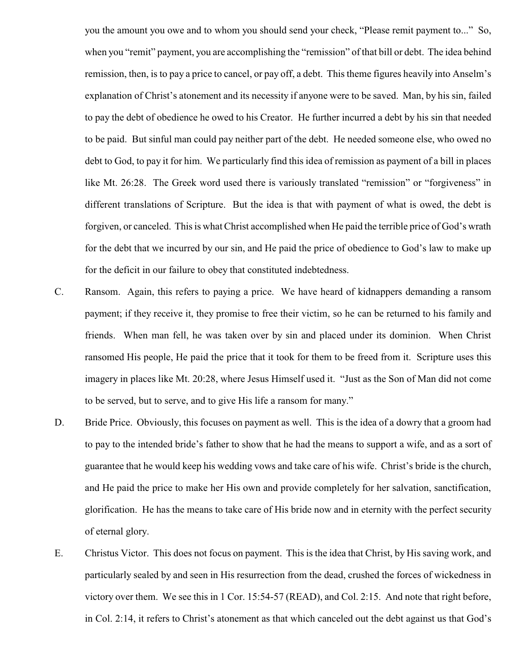you the amount you owe and to whom you should send your check, "Please remit payment to..." So, when you "remit" payment, you are accomplishing the "remission" of that bill or debt. The idea behind remission, then, is to pay a price to cancel, or pay off, a debt. This theme figures heavily into Anselm's explanation of Christ's atonement and its necessity if anyone were to be saved. Man, by his sin, failed to pay the debt of obedience he owed to his Creator. He further incurred a debt by his sin that needed to be paid. But sinful man could pay neither part of the debt. He needed someone else, who owed no debt to God, to pay it for him. We particularly find this idea of remission as payment of a bill in places like Mt. 26:28. The Greek word used there is variously translated "remission" or "forgiveness" in different translations of Scripture. But the idea is that with payment of what is owed, the debt is forgiven, or canceled. This is what Christ accomplished when He paid the terrible price of God's wrath for the debt that we incurred by our sin, and He paid the price of obedience to God's law to make up for the deficit in our failure to obey that constituted indebtedness.

- C. Ransom. Again, this refers to paying a price. We have heard of kidnappers demanding a ransom payment; if they receive it, they promise to free their victim, so he can be returned to his family and friends. When man fell, he was taken over by sin and placed under its dominion. When Christ ransomed His people, He paid the price that it took for them to be freed from it. Scripture uses this imagery in places like Mt. 20:28, where Jesus Himself used it. "Just as the Son of Man did not come to be served, but to serve, and to give His life a ransom for many."
- D. Bride Price. Obviously, this focuses on payment as well. This is the idea of a dowry that a groom had to pay to the intended bride's father to show that he had the means to support a wife, and as a sort of guarantee that he would keep his wedding vows and take care of his wife. Christ's bride is the church, and He paid the price to make her His own and provide completely for her salvation, sanctification, glorification. He has the means to take care of His bride now and in eternity with the perfect security of eternal glory.
- E. Christus Victor. This does not focus on payment. This is the idea that Christ, by His saving work, and particularly sealed by and seen in His resurrection from the dead, crushed the forces of wickedness in victory over them. We see this in 1 Cor. 15:54-57 (READ), and Col. 2:15. And note that right before, in Col. 2:14, it refers to Christ's atonement as that which canceled out the debt against us that God's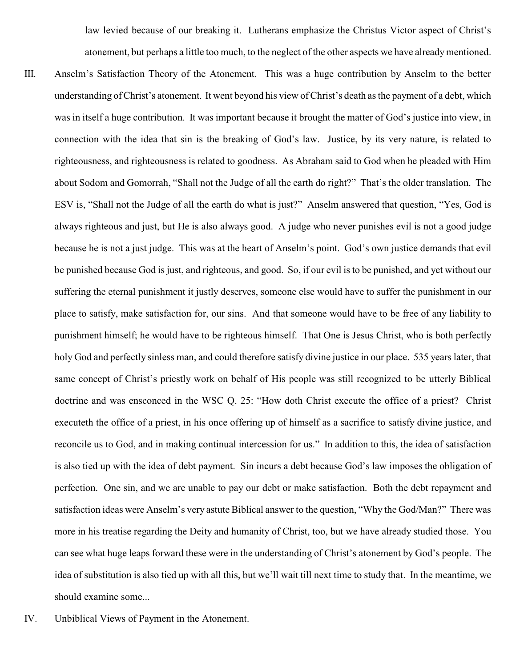law levied because of our breaking it. Lutherans emphasize the Christus Victor aspect of Christ's atonement, but perhaps a little too much, to the neglect of the other aspects we have alreadymentioned.

- III. Anselm's Satisfaction Theory of the Atonement. This was a huge contribution by Anselm to the better understanding of Christ's atonement. It went beyond his view of Christ's death as the payment of a debt, which was in itself a huge contribution. It was important because it brought the matter of God's justice into view, in connection with the idea that sin is the breaking of God's law. Justice, by its very nature, is related to righteousness, and righteousness is related to goodness. As Abraham said to God when he pleaded with Him about Sodom and Gomorrah, "Shall not the Judge of all the earth do right?" That's the older translation. The ESV is, "Shall not the Judge of all the earth do what is just?" Anselm answered that question, "Yes, God is always righteous and just, but He is also always good. A judge who never punishes evil is not a good judge because he is not a just judge. This was at the heart of Anselm's point. God's own justice demands that evil be punished because God is just, and righteous, and good. So, if our evil is to be punished, and yet without our suffering the eternal punishment it justly deserves, someone else would have to suffer the punishment in our place to satisfy, make satisfaction for, our sins. And that someone would have to be free of any liability to punishment himself; he would have to be righteous himself. That One is Jesus Christ, who is both perfectly holy God and perfectly sinless man, and could therefore satisfy divine justice in our place. 535 years later, that same concept of Christ's priestly work on behalf of His people was still recognized to be utterly Biblical doctrine and was ensconced in the WSC Q. 25: "How doth Christ execute the office of a priest? Christ executeth the office of a priest, in his once offering up of himself as a sacrifice to satisfy divine justice, and reconcile us to God, and in making continual intercession for us." In addition to this, the idea of satisfaction is also tied up with the idea of debt payment. Sin incurs a debt because God's law imposes the obligation of perfection. One sin, and we are unable to pay our debt or make satisfaction. Both the debt repayment and satisfaction ideas were Anselm's very astute Biblical answer to the question, "Why the God/Man?" There was more in his treatise regarding the Deity and humanity of Christ, too, but we have already studied those. You can see what huge leaps forward these were in the understanding of Christ's atonement by God's people. The idea of substitution is also tied up with all this, but we'll wait till next time to study that. In the meantime, we should examine some...
- IV. Unbiblical Views of Payment in the Atonement.